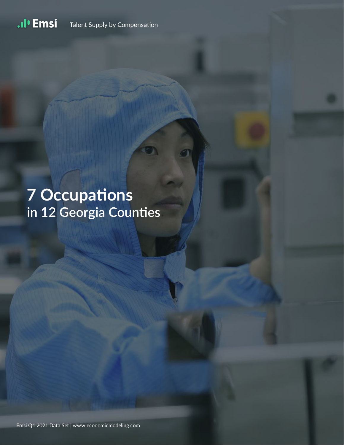.ıl<sup>ı</sup> Emsi Talent Supply by Compensation

# **7 Occupations** in 12 Georgia Counties

Emsi Q1 2021 Data Set | www.economicmodeling.com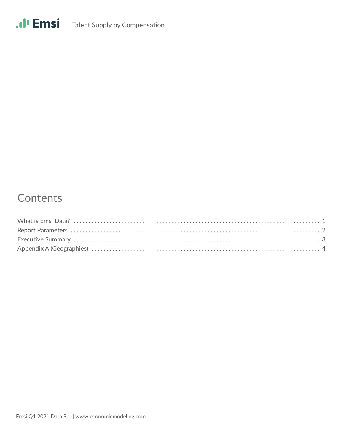

### Contents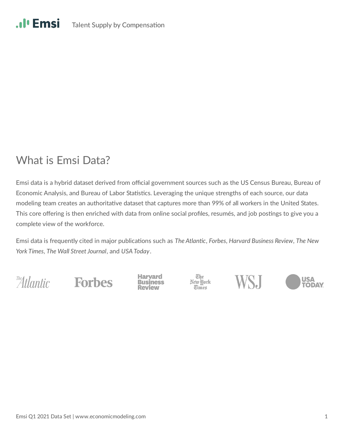## What is Emsi Data?

Emsi data is a hybrid dataset derived from official government sources such as the US Census Bureau, Bureau of Economic Analysis, and Bureau of Labor Statistics. Leveraging the unique strengths of each source, our data modeling team creates an authoritative dataset that captures more than 99% of all workers in the United States. This core offering is then enriched with data from online social profiles, resumés, and job postings to give you a complete view of the workforce.

Emsi data is frequently cited in major publications such as The Atlantic, Forbes, Harvard Business Review, The New *York Times*, *The Wall Street Journal*, and *USA Today*.

The Atlantic

**Forbes** 

Harvard **Business**  The<br>New York **Times** 



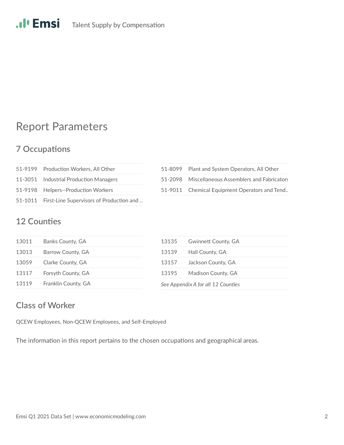## Report Parameters

#### **7 Occupations**

| 51-9199 Production Workers, All Other            | 51-8099 |
|--------------------------------------------------|---------|
| 11-3051 Industrial Production Managers           | 51-2098 |
| 51-9198 Helpers--Production Workers              | 51-9011 |
| 51-1011 First-Line Supervisors of Production and |         |

| 51-8099 Plant and System Operators, All Other    |
|--------------------------------------------------|
| 51-2098 Miscellaneous Assemblers and Fabricators |
| 51-9011 Chemical Equipment Operators and Tend    |

#### **12 Counties**

| 13011 | Banks County, GA    | <b>Gwinnett County, GA</b><br>13135 |
|-------|---------------------|-------------------------------------|
| 13013 | Barrow County, GA   | 13139<br>Hall County, GA            |
| 13059 | Clarke County, GA   | Jackson County, GA<br>13157         |
| 13117 | Forsyth County, GA  | Madison County, GA<br>13195         |
| 13119 | Franklin County, GA | See Appendix A for all 12 Counties  |

#### **Class of Worker**

QCEW Employees, Non-QCEW Employees, and Self-Employed

The information in this report pertains to the chosen occupations and geographical areas.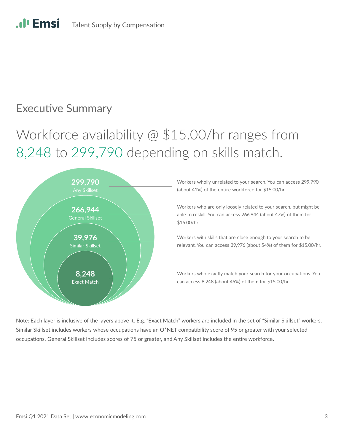## **Executive Summary**

**Al'Emsi** 

## Workforce availability @ \$15.00/hr ranges from 8,248 to 299,790 depending on skills match.



Workers wholly unrelated to your search. You can access 299,790 (about  $41\%$ ) of the entire workforce for \$15.00/hr.

Workers who are only loosely related to your search, but might be able to reskill. You can access 266,944 (about 47%) of them for \$15.00/hr.

Workers with skills that are close enough to your search to be relevant. You can access 39,976 (about 54%) of them for \$15.00/hr.

Workers who exactly match your search for your occupations. You can access 8,248 (about 45%) of them for \$15.00/hr.

Note: Each layer is inclusive of the layers above it. E.g. "Exact Match" workers are included in the set of "Similar Skillset" workers. Similar Skillset includes workers whose occupations have an O\*NET compatibility score of 95 or greater with your selected occupations, General Skillset includes scores of 75 or greater, and Any Skillset includes the entire workforce.